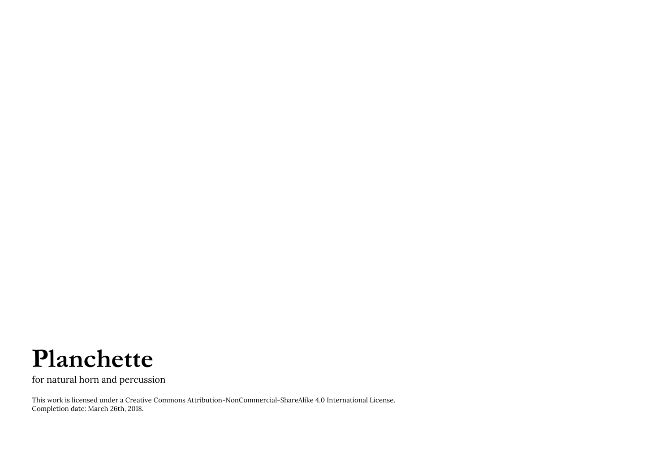## **Planchette**

for natural horn and percussion

This work is licensed under a Creative Commons Attribution-NonCommercial-ShareAlike 4.0 International License. Completion date: March 26th, 2018.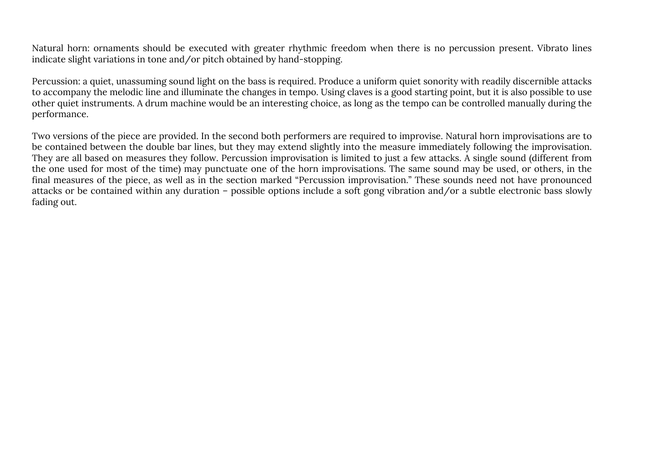Natural horn: ornaments should be executed with greater rhythmic freedom when there is no percussion present. Vibrato lines indicate slight variations in tone and/or pitch obtained by hand-stopping.

Percussion: a quiet, unassuming sound light on the bass is required. Produce a uniform quiet sonority with readily discernible attacks to accompany the melodic line and illuminate the changes in tempo. Using claves is a good starting point, but it is also possible to use other quiet instruments. A drum machine would be an interesting choice, as long as the tempo can be controlled manually during the performance.

Two versions of the piece are provided. In the second both performers are required to improvise. Natural horn improvisations are to be contained between the double bar lines, but they may extend slightly into the measure immediately following the improvisation. They are all based on measures they follow. Percussion improvisation is limited to just a few attacks. A single sound (different from the one used for most of the time) may punctuate one of the horn improvisations. The same sound may be used, or others, in the final measures of the piece, as well as in the section marked "Percussion improvisation." These sounds need not have pronounced attacks or be contained within any duration – possible options include a soft gong vibration and/or a subtle electronic bass slowly fading out.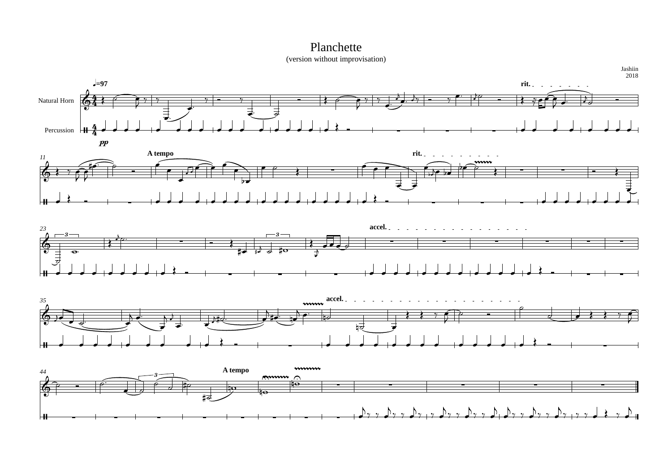





## Planchette







(version without improvisation)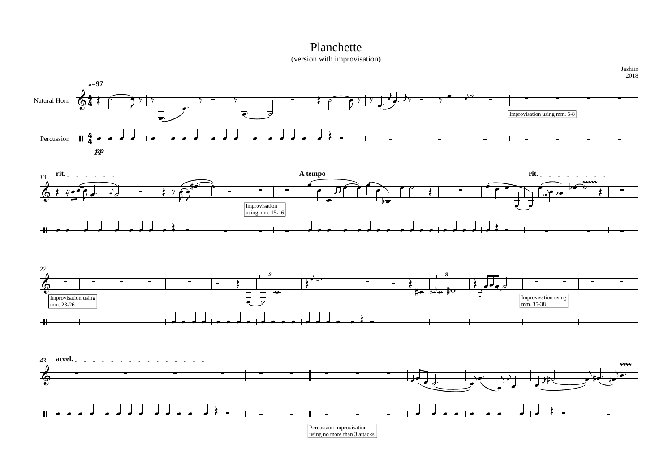



(version with improvisation)



## Planchette

Jashiin 2018